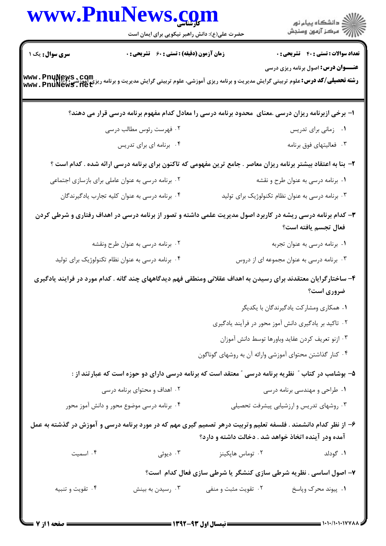|                        | www.PnuNews.com                                                                                                                                 |                                                                                                                                                                                                                                                                                                   |                                                      |
|------------------------|-------------------------------------------------------------------------------------------------------------------------------------------------|---------------------------------------------------------------------------------------------------------------------------------------------------------------------------------------------------------------------------------------------------------------------------------------------------|------------------------------------------------------|
|                        | حضرت علی(ع): دانش راهبر نیکویی برای ایمان است                                                                                                   |                                                                                                                                                                                                                                                                                                   |                                                      |
| <b>سری سوال :</b> یک ۱ | زمان آزمون (دقیقه) : تستی : ۶۰٪ تشریحی : ۰                                                                                                      |                                                                                                                                                                                                                                                                                                   | <b>تعداد سوالات : تستی : 40 - تشریحی : .</b>         |
|                        | <b>رشته تحصیلی/کد درس: ع</b> لوم تربیتی گرایش مدیریت و برنامه ریزی آموزشی، علوم تربیتی گرایش مدیریت و برنامه ریزی آموزشی<br>www . PnuNewS . Het |                                                                                                                                                                                                                                                                                                   | <b>عنـــوان درس:</b> اصول برنامه ریزی درسی           |
|                        | ا– برخی ازبرنامه ریزان درسی .معنای ً محدود برنامه درسی را معادل کدام مفهوم برنامه درسی قرار می دهند؟                                            |                                                                                                                                                                                                                                                                                                   |                                                      |
|                        | ۲. فهرست رئوس مطالب درسی                                                                                                                        |                                                                                                                                                                                                                                                                                                   | ۰۱ زمانی برای تدریس                                  |
|                        | ۰۴ برنامه ای برای تدریس                                                                                                                         |                                                                                                                                                                                                                                                                                                   | ۰۳ فعالیتهای فوق برنامه                              |
|                        | ۲- بنا به اعتقاد بیشتر برنامه ریزان معاصر . جامع ترین مفهومی که تاکنون برای برنامه درسی ارائه شده . کدام است ؟                                  |                                                                                                                                                                                                                                                                                                   |                                                      |
|                        | ۰۲ برنامه درسی به عنوان عاملی برای بازسازی اجتماعی                                                                                              |                                                                                                                                                                                                                                                                                                   | ۰۱ برنامه درسی به عنوان طرح و نقشه                   |
|                        | ۰۴ برنامه درسی به عنوان کلیه تجارب یادگیرندگان                                                                                                  |                                                                                                                                                                                                                                                                                                   | ۰۳ برنامه درسی به عنوان نظام تکنولوژیک برای تولید    |
|                        | ۳- کدام برنامه درسی ریشه در کاربرد اصول مدیریت علمی داشته و تصور از برنامه درسی در اهداف رفتاری و شرطی کردن                                     |                                                                                                                                                                                                                                                                                                   | فعال تجسم يافته است؟                                 |
|                        | ۰۲ برنامه درسی به عنوان طرح ونقشه                                                                                                               |                                                                                                                                                                                                                                                                                                   | ۰۱ برنامه درسی به عنوان تجربه                        |
|                        | ۰۴ برنامه درسی به عنوان نظام تکنولوژیک برای تولید                                                                                               |                                                                                                                                                                                                                                                                                                   | ۰۳ برنامه درسی به عنوان مجموعه ای از دروس            |
|                        | ۴– ساختارگرایان معتقدند برای رسیدن به اهداف عقلانی ومنطقی فهم دیدگاههای چند گانه . کدام مورد در فرایند یادگیری                                  |                                                                                                                                                                                                                                                                                                   |                                                      |
|                        |                                                                                                                                                 |                                                                                                                                                                                                                                                                                                   | ضروری است؟                                           |
|                        |                                                                                                                                                 |                                                                                                                                                                                                                                                                                                   | ۰۱ همکاری ومشارکت یادگیرندگان با یکدیگر              |
|                        |                                                                                                                                                 |                                                                                                                                                                                                                                                                                                   | ۰۲ تاکید بر یادگیری دانش آموز محور در فرآیند یادگیری |
|                        |                                                                                                                                                 |                                                                                                                                                                                                                                                                                                   | ۰۳ ازنو تعریف کردن عقاید وباورها توسط دانش آموزان    |
|                        |                                                                                                                                                 | ۰۴ کنار گذاشتن محتوای آموزشی وارائه آن به روشهای گوناگون                                                                                                                                                                                                                                          |                                                      |
|                        | ۵– بوشامب در کتاب ″ نظریه برنامه درسی ″ معتقد است که برنامه درسی دارای دو حوزه است که عبارتند از :                                              |                                                                                                                                                                                                                                                                                                   |                                                      |
|                        | ۰۲ اهداف و محتوای برنامه درسی                                                                                                                   |                                                                                                                                                                                                                                                                                                   | ۰۱ طراحی و مهندسی برنامه درسی                        |
|                        | ۰۴ برنامه درسی موضوع محور و دانش آموز محور                                                                                                      |                                                                                                                                                                                                                                                                                                   | ۰۳ روشهای تدریس و ارزشیابی پیشرفت تحصیلی             |
|                        | ۶– از نظر کدام دانشمند . فلسفه تعلیم وتربیت درهر تصمیم گیری مهم که در مورد برنامه درسی و آموزش در گذشته به عمل                                  | آمده ودر آینده اتخاذ خواهد شد . دخالت داشته و دارد؟                                                                                                                                                                                                                                               |                                                      |
| ۰۴ اسمیت               | . دیوئی $\cdot$ ۳                                                                                                                               | ۰۲ توماس هاپکینز                                                                                                                                                                                                                                                                                  | ۰۱ گودلد                                             |
|                        |                                                                                                                                                 | ۷- اصول اساسی . نظریه شرطی سازی کنشگر یا شرطی سازی فعال کدام است؟                                                                                                                                                                                                                                 |                                                      |
| ۰۴ تقویت و تنبیه       | ۰۳ رسیدن به بینش                                                                                                                                | ۰۲ تقویت مثبت و منفی                                                                                                                                                                                                                                                                              | ۰۱ پیوند محرک وپاسخ                                  |
|                        |                                                                                                                                                 |                                                                                                                                                                                                                                                                                                   |                                                      |
|                        |                                                                                                                                                 | $\frac{1}{2}$ . The set of $\frac{1}{2}$ is $\frac{1}{2}$ in $\frac{1}{2}$ in $\frac{1}{2}$ is $\frac{1}{2}$ in $\frac{1}{2}$ in $\frac{1}{2}$ in $\frac{1}{2}$ in $\frac{1}{2}$ in $\frac{1}{2}$ in $\frac{1}{2}$ in $\frac{1}{2}$ in $\frac{1}{2}$ in $\frac{1}{2}$ in $\frac{1}{2}$ in $\frac$ |                                                      |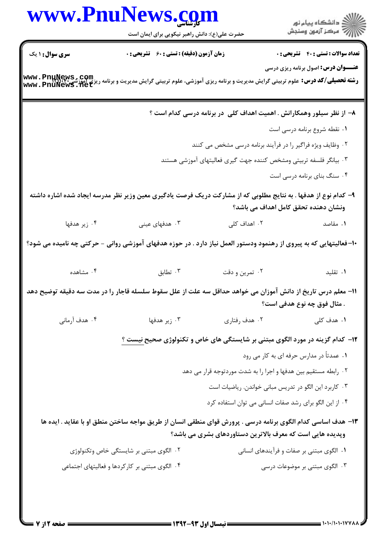|                 | www.PnuNews.com                                                                                                    |                |                                                                              |
|-----------------|--------------------------------------------------------------------------------------------------------------------|----------------|------------------------------------------------------------------------------|
|                 | حضرت علی(ع): دانش راهبر نیکویی برای ایمان است                                                                      |                |                                                                              |
| سری سوال : ۱ یک | <b>زمان آزمون (دقیقه) : تستی : 60 ٪ تشریحی : 0</b>                                                                 |                | <b>تعداد سوالات : تستي : 40 ٪ تشريحي : 0</b>                                 |
|                 |                                                                                                                    |                | <b>عنـــوان درس:</b> اصول برنامه ریزی درسی                                   |
| www.Pnunews.com | <b>رشته تحصیلی/کد درس:</b> علوم تربیتی گرایش مدیریت و برنامه ریزی آموزشی، علوم تربیتی گرایش مدیریت و برنامه        |                |                                                                              |
|                 |                                                                                                                    |                | ۸– از نظر سیلور وهمکارانش . اهمیت اهداف کلی در برنامه درسی کدام است ؟        |
|                 |                                                                                                                    |                | ۰۱ نقطه شروع برنامه درسی است                                                 |
|                 |                                                                                                                    |                | ۰۲ وظایف ویژه فراگیر را در فرآیند برنامه درسی مشخص می کنند                   |
|                 |                                                                                                                    |                | ۰۳ بیانگر فلسفه تربیتی ومشخص کننده جهت گیری فعالیتهای آموزشی هستند           |
|                 |                                                                                                                    |                | ۰۴ سنگ بنای برنامه درسی است                                                  |
|                 | ۹– کدام نوع از هدفها . به نتایج مطلوبی که از مشارکت دریک فرصت یادگیری معین وزیر نظر مدرسه ایجاد شده اشاره داشته    |                | ونشان دهنده تحقق کامل اهداف می باشد؟                                         |
| ۰۴ زیر هدفها    | ۰۳ هدفهای عینی                                                                                                     | ۰۲ اهداف کلی   | ۰۱ مقاصد                                                                     |
|                 | +ا–فعالیتهایی که به پیروی از رهنمود ودستور العمل نیاز دارد . در حوزه هدفهای آموزشی روانی – حرکتی چه نامیده می شود؟ |                |                                                                              |
| ۰۴ مشاهده       | ۰۳ تطابق                                                                                                           | ۰۲ تمرین و دقت | ۰۱ تقلید                                                                     |
|                 | 11– معلم درس تاریخ از دانش آموزان می خواهد حداقل سه علت از علل سقوط سلسله قاجار را در مدت سه دقیقه توضیح دهد       |                | . مثال فوق چه نوع هدفی است؟                                                  |
| ۰۴ هدف آرمانی   | ۰۳ زیر هدفها                                                                                                       | ۰۲ هدف رفتاری  | ۰۱ هدف کلی                                                                   |
|                 |                                                                                                                    |                | ۱۲– کدام گزینه در مورد الگوی مبتنی بر شایستگی های خاص و تکنولوژی صحیح نیست ؟ |
|                 |                                                                                                                    |                | ۰۱ عمدتاً در مدارس حرفه ای به کار می رود                                     |
|                 |                                                                                                                    |                | ۰۲ رابطه مستقیم بین هدفها و اجرا را به شدت موردتوجه قرار می دهد              |
|                 |                                                                                                                    |                | ۰۳ کاربرد این الگو در تدریس مبانی خواندن. ریاضیات است                        |
|                 |                                                                                                                    |                | ۰۴ از این الگو برای رشد صفات انسانی می توان استفاده کرد                      |
|                 | ۱۳- هدف اساسی کدام الگوی برنامه درسی . پرورش قوای منطقی انسان از طریق مواجه ساختن منطق او با عقاید . ایده ها       |                |                                                                              |
|                 |                                                                                                                    |                | وپدیده هایی است که معرف بالاترین دستاوردهای بشری می باشد؟                    |
|                 | ۰۲ الگوی مبتنی بر شایستگی خاص وتکنولوژی                                                                            |                | ۰۱ الگوی مبتنی بر صفات و فرآیندهای انسانی                                    |
|                 | ۰۴ الگوی مبتنی بر کارکردها و فعالیتهای اجتماعی                                                                     |                | ۰۳ الگوی مبتنی بر موضوعات درسی                                               |
|                 |                                                                                                                    |                |                                                                              |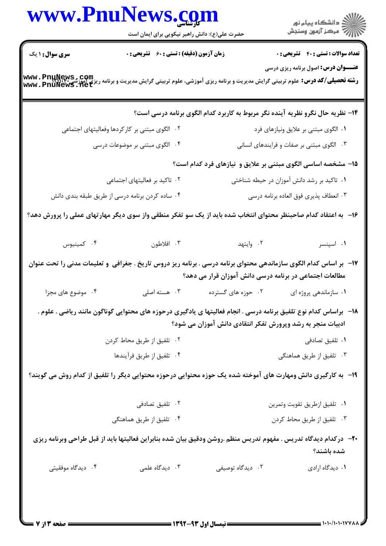|                        | www.PnuNews.com<br>حضرت علی(ع): دانش راهبر نیکویی برای ایمان است |                                                                                                                                                                              | )<br>است دانشگاه پيام نور<br>است درکز آزمون وسنڊش |
|------------------------|------------------------------------------------------------------|------------------------------------------------------------------------------------------------------------------------------------------------------------------------------|---------------------------------------------------|
| <b>سری سوال :</b> ۱ یک | زمان آزمون (دقیقه) : تستی : 60 گشریحی : 0                        |                                                                                                                                                                              | <b>تعداد سوالات : تستی : 40 - تشریحی : .</b>      |
|                        |                                                                  | <b>رشته تحصیلی/کد درس:</b> علوم تربیتی گرایش مدیریت و برنامه ریزی آموزشی، علوم تربیتی گرایش مدیریت و برنامه ریزی آموزشی<br>Www . PnuNewS . Net                               | <b>عنـــوان درس:</b> اصول برنامه ریزی درسی        |
|                        |                                                                  | ۱۴– نظریه حال نگرو نظریه آینده نگر مربوط به کاربرد کدام الگوی برنامه درسی است؟                                                                                               |                                                   |
|                        | ۲. الگوی مبتنی بر کارکردها وفعالیتهای اجتماعی                    |                                                                                                                                                                              | ۰۱ الگوی مبتنی بر علایق ونیازهای فرد              |
|                        | ۰۴ الگوی مبتنی بر موضوعات درسی                                   |                                                                                                                                                                              | ۰۳ الگوی مبتنی بر صفات و فرایندهای انسانی         |
|                        |                                                                  | ۱۵- مشخصه اساسی الگوی مبتنی بر علایق و نیازهای فرد کدام است؟                                                                                                                 |                                                   |
|                        | ۰۲ تاکید بر فعالیتهای اجتماعی                                    |                                                                                                                                                                              | ۰۱ تاکید بر رشد دانش آموزان در حیطه شناختی        |
|                        | ۰۴ ساده کردن برنامه درسی از طریق طبقه بندی دانش                  |                                                                                                                                                                              | ۰۳ انعطاف پذیری فوق العاده برنامه درسی            |
|                        |                                                                  | ۱۶– به اعتقاد کدام صاحبنظر محتوای انتخاب شده باید از یک سو تفکر منطقی واز سوی دیگر مهارتهای عملی را پرورش دهد؟                                                               |                                                   |
| ۰۴ کمینیوس             | ۰۳ افلاطون                                                       | ۰۲ وايتهد                                                                                                                                                                    | ۰۱ اسپنسر                                         |
|                        |                                                                  | ۱۷– بر اساس کدام الگوی سازماندهی محتوای برنامه درسی . برنامه ریز دروس تاریخ . جغرافی و تعلیمات مدنی را تحت عنوان<br>مطالعات اجتماعی در برنامه درسی دانش آموزان قرار می دهد؟  |                                                   |
| ۰۴ موضوع های مجزا      | ۰۳ هسته اصلی                                                     | ۰۲ حوزه های گسترده                                                                                                                                                           | ٠١ سازماندهي پروژه اي                             |
|                        |                                                                  | 18–۔براساس کدام نوع تلفیق برنامه درسی . انجام فعالیتها ی یادگیری درحوزه های محتوایی گوناگون مانند ریاضی . علوم<br>ادبیات منجر به رشد وپرورش تفکر انتقادی دانش آموزان می شود؟ |                                                   |
|                        | ۰۲ تلفیق از طریق محاط کردن                                       |                                                                                                                                                                              | ۰۱ تلفیق تصادفی                                   |
|                        | ۰۴ تلفيق از طريق فرآيندها                                        |                                                                                                                                                                              | ۰۳ تلفیق از طریق هماهنگی                          |
|                        |                                                                  | ۱۹- ً به کارگیری دانش ومهارت های آموخته شده یک حوزه محتوایی درحوزه محتوایی دیگر را تلفیق از کدام روش می گویند؟                                                               |                                                   |
|                        | ۰۲ تلفیق تصادفی                                                  |                                                                                                                                                                              | ٠١ تلفيق ازطريق تقويت وتمرين                      |
|                        | ۰۴ تلفیق از طریق هماهنگی                                         |                                                                                                                                                                              | ۰۳ تلفیق از طریق محاط کردن                        |
|                        |                                                                  | +٢- دركدام ديدگاه تدريس . مفهوم تدريس منظم .روشن ودقيق بيان شده بنابراين فعاليتها بايد از قبل طراحي وبرنامه ريزي                                                             | شده باشند؟                                        |
| ۰۴ دیدگاه موفقیتی      | ۰۳ دیدگاه علمی                                                   | ۰۲ دیدگاه توصیفی                                                                                                                                                             | ٠١ ديدگاه ارادي                                   |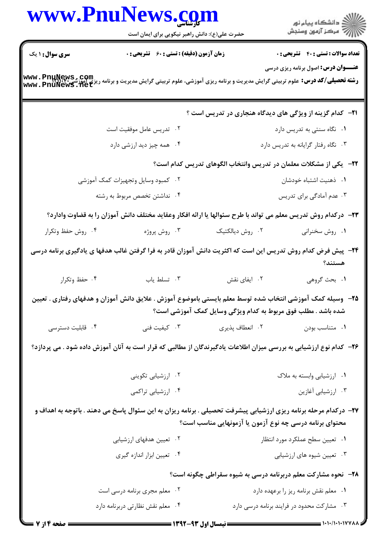| www.PnuNews.com                                                                                                                                  | حضرت علی(ع): دانش راهبر نیکویی برای ایمان است                                                                      |                                                               | الا دانشگاه پيام نور<br>   > مرکز آزمون وسنجش                             |
|--------------------------------------------------------------------------------------------------------------------------------------------------|--------------------------------------------------------------------------------------------------------------------|---------------------------------------------------------------|---------------------------------------------------------------------------|
| <b>سری سوال : ۱ یک</b>                                                                                                                           | زمان آزمون (دقیقه) : تستی : ۶۰٪ تشریحی : ۰                                                                         |                                                               | <b>تعداد سوالات : تستی : 40 - تشریحی : 0</b>                              |
| <b>رشته تحصیلی/کد درس:</b> علوم تربیتی گرایش مدیریت و برنامه ریزی آموزشی، علوم تربیتی گرایش مدیریت و برنامه ریزی آموزشی<br>  www . PnuNewS . Net |                                                                                                                    |                                                               | <b>عنـــوان درس:</b> اصول برنامه ریزی درسی                                |
|                                                                                                                                                  |                                                                                                                    |                                                               | <b>۲۱</b> - کدام گزینه از ویژگی های دیدگاه هنجاری در تدریس است ؟          |
|                                                                                                                                                  | ۰۲ تدریس عامل موفقیت است                                                                                           |                                                               | ۰۱ نگاه سنتی به تدریس دارد                                                |
|                                                                                                                                                  | ۰۴ همه چیز دید ارزشی دارد                                                                                          |                                                               | ۰۳ نگاه رفتار گرایانه به تدریس دارد                                       |
|                                                                                                                                                  |                                                                                                                    |                                                               | <b>۲۲</b> - یکی از مشکلات معلمان در تدریس وانتخاب الگوهای تدریس کدام است؟ |
|                                                                                                                                                  | ۰۲ کمبود وسایل وتجهیزات کمک آموزشی                                                                                 |                                                               | ٠١ ذهنيت اشتباه خودشان                                                    |
|                                                                                                                                                  | ۰۴ نداشتن تخصص مربوط به رشته                                                                                       |                                                               | ۰۳ عدم آمادگی برای تدریس                                                  |
|                                                                                                                                                  | ۲۳– درکدام روش تدریس معلم می تواند با طرح سئوالها یا ارائه افکار وعقاید مختلف دانش آموزان را به قضاوت وادارد؟      |                                                               |                                                                           |
| ۰۴ روش حفظ وتكرار                                                                                                                                | ۰۳ روش پروژه                                                                                                       | ۰۲ روش دیالکتیک                                               | ۰۱ روش سخنرانی                                                            |
|                                                                                                                                                  | ۲۴- پیش فرض کدام روش تدریس این است که اکثریت دانش آموزان قادر به فرا گرفتن غالب هدفها ی یادگیری برنامه درسی        |                                                               | هستند؟                                                                    |
| ۰۴ حفظ وتکرار                                                                                                                                    | ۰۳ تسلط یاب                                                                                                        | ۰۲ ایفای نقش                                                  | ١. بحث گروهي                                                              |
|                                                                                                                                                  | ۲۵– وسیله کمک آموزشی انتخاب شده توسط معلم بایستی باموضوع آموزش . علایق دانش آموزان و هدفهای رفتاری . تعیین         | شده باشد . مطلب فوق مربوط به کدام ویژگی وسایل کمک آموزشی است؟ |                                                                           |
| ۰۴ قابلیت دسترسی                                                                                                                                 | ۰۳ کیفیت فنی                                                                                                       | ۰۲ انعطاف پذیری                                               | ٠١ متناسب بودن                                                            |
|                                                                                                                                                  | ۲۶– کدام نوع ارزشیابی به بررسی میزان اطلاعات یادگیرندگان از مطالبی که قرار است به آنان آموزش داده شود . می پردازد؟ |                                                               |                                                                           |
|                                                                                                                                                  | ۰۲ ارزشیابی تکوینی                                                                                                 |                                                               | ۰۱ ارزشیابی وابسته به ملاک                                                |
|                                                                                                                                                  | ۰۴ ارزشیابی تراکمی                                                                                                 |                                                               | ۰۳ ارزشیابی آغازین                                                        |
|                                                                                                                                                  | ۲۷- درکدام مرحله برنامه ریزی ارزشیابی پیشرفت تحصیلی . برنامه ریزان به این سئوال پاسخ می دهند . باتوجه به اهداف و   | محتوای برنامه درسی چه نوع آزمون یا آزمونهایی مناسب است؟       |                                                                           |
|                                                                                                                                                  | ۰۲ تعیین هدفهای ارزشیابی                                                                                           |                                                               | ٠١ تعيين سطح عملكرد مورد انتظار                                           |
|                                                                                                                                                  | ۰۴ تعیین ابزار اندازه گیری                                                                                         |                                                               | ۰۳ تعیین شیوه های ارزشیابی                                                |
|                                                                                                                                                  |                                                                                                                    |                                                               | ۲۸- ً نحوه مشارکت معلم دربرنامه درسی به شیوه سقراطی چگونه است؟            |
|                                                                                                                                                  | ۰۲ معلم مجری برنامه درسی است                                                                                       |                                                               | ۰۱ معلم نقش برنامه ريز را برعهده دارد                                     |
|                                                                                                                                                  | ۰۴ معلم نقش نظارتی دربرنامه دارد                                                                                   |                                                               | ۰۳ مشارکت محدود در فرایند برنامه درسی دارد                                |
| = صفحه 4 از 7                                                                                                                                    |                                                                                                                    |                                                               |                                                                           |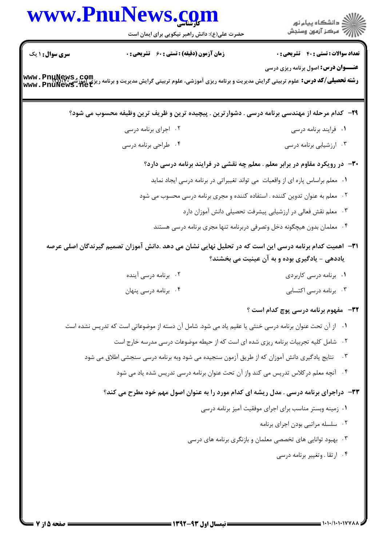| حضرت علی(ع): دانش راهبر نیکویی برای ایمان است<br>زمان آزمون (دقیقه) : تستی : 60 ٪ تشریحی : 0<br><b>سری سوال : ۱ یک</b><br><b>رشته تحصیلی/کد درس:</b> علوم تربیتی گرایش مدیریت و برنامه ریزی آموزشی، علوم تربیتی گرایش مدیریت و برنامه ریزی آموزشی<br>www . PnuNewS . Net<br>۲۹– کدام مرحله از مهندسی برنامه درسی . دشوارترین . پیچیده ترین و ظریف ترین وظیفه محسوب می شود؟<br>۰۲ اجرای برنامه درسی<br>۰۴ طراحی برنامه درسی<br>۰۳ معلم نقش فعالی در ارزشیابی پیشرفت تحصیلی دانش آموزان دارد<br>۳۱−   اهمیت کدام برنامه درسی این است که در تحلیل نهایی نشان می دهد .دانش آموزان تصمیم گیرندگان اصلی عرصه<br>۰۲ برنامه درسی آینده<br>۰۱ برنامه درسی کاربردی<br>۴. برنامه درسی پنهان<br>۰۱ از آن تحت عنوان برنامه درسی خنثی یا عقیم یاد می شود. شامل آن دسته از موضوعاتی است که تدریس نشده است<br>۰۲ شامل کلیه تجربیات برنامه ریزی شده ای است که از حیطه موضوعات درسی مدرسه خارج است<br>نتایج یادگیری دانش آموزان که از طریق آزمون سنجیده می شود وبه برنامه درسی سنجشی اطلاق می شود<br>۰۴ آنچه معلم در کلاس تدریس می کند واز آن تحت عنوان برنامه درسی تدریس شده یاد می شود<br>۳۳- دراجرای برنامه درسی . مدل ریشه ای کدام مورد را به عنوان اصول مهم خود مطرح می کند؟ | )<br>  استگاه پيام نور<br>      مرکز آزمون وسنڊش<br><b>تعداد سوالات : تستی : 40 - تشریحی : 0</b><br><b>عنـــوان درس:</b> اصول برنامه ریزی درسی<br>٠١ فرايند برنامه درسي<br>۰۳ ارزشیابی برنامه درسی<br>۳۰– در رویکرد مقاوم در برابر معلم . معلم چه نقشی در فرایند برنامه درسی دارد؟<br>۰۱ معلم براساس پاره ای از واقعیات می تواند تغییراتی در برنامه درسی ایجاد نماید<br>۰۲ معلم به عنوان تدوین کننده . استفاده کننده و مجری برنامه درسی محسوب می شود |
|-----------------------------------------------------------------------------------------------------------------------------------------------------------------------------------------------------------------------------------------------------------------------------------------------------------------------------------------------------------------------------------------------------------------------------------------------------------------------------------------------------------------------------------------------------------------------------------------------------------------------------------------------------------------------------------------------------------------------------------------------------------------------------------------------------------------------------------------------------------------------------------------------------------------------------------------------------------------------------------------------------------------------------------------------------------------------------------------------------------------------------------------------------------------|------------------------------------------------------------------------------------------------------------------------------------------------------------------------------------------------------------------------------------------------------------------------------------------------------------------------------------------------------------------------------------------------------------------------------------------------------|
|                                                                                                                                                                                                                                                                                                                                                                                                                                                                                                                                                                                                                                                                                                                                                                                                                                                                                                                                                                                                                                                                                                                                                                 |                                                                                                                                                                                                                                                                                                                                                                                                                                                      |
|                                                                                                                                                                                                                                                                                                                                                                                                                                                                                                                                                                                                                                                                                                                                                                                                                                                                                                                                                                                                                                                                                                                                                                 |                                                                                                                                                                                                                                                                                                                                                                                                                                                      |
|                                                                                                                                                                                                                                                                                                                                                                                                                                                                                                                                                                                                                                                                                                                                                                                                                                                                                                                                                                                                                                                                                                                                                                 |                                                                                                                                                                                                                                                                                                                                                                                                                                                      |
|                                                                                                                                                                                                                                                                                                                                                                                                                                                                                                                                                                                                                                                                                                                                                                                                                                                                                                                                                                                                                                                                                                                                                                 |                                                                                                                                                                                                                                                                                                                                                                                                                                                      |
|                                                                                                                                                                                                                                                                                                                                                                                                                                                                                                                                                                                                                                                                                                                                                                                                                                                                                                                                                                                                                                                                                                                                                                 |                                                                                                                                                                                                                                                                                                                                                                                                                                                      |
|                                                                                                                                                                                                                                                                                                                                                                                                                                                                                                                                                                                                                                                                                                                                                                                                                                                                                                                                                                                                                                                                                                                                                                 |                                                                                                                                                                                                                                                                                                                                                                                                                                                      |
|                                                                                                                                                                                                                                                                                                                                                                                                                                                                                                                                                                                                                                                                                                                                                                                                                                                                                                                                                                                                                                                                                                                                                                 |                                                                                                                                                                                                                                                                                                                                                                                                                                                      |
|                                                                                                                                                                                                                                                                                                                                                                                                                                                                                                                                                                                                                                                                                                                                                                                                                                                                                                                                                                                                                                                                                                                                                                 |                                                                                                                                                                                                                                                                                                                                                                                                                                                      |
|                                                                                                                                                                                                                                                                                                                                                                                                                                                                                                                                                                                                                                                                                                                                                                                                                                                                                                                                                                                                                                                                                                                                                                 |                                                                                                                                                                                                                                                                                                                                                                                                                                                      |
|                                                                                                                                                                                                                                                                                                                                                                                                                                                                                                                                                                                                                                                                                                                                                                                                                                                                                                                                                                                                                                                                                                                                                                 | ۰۴ معلمان بدون هیچگونه دخل وتصرفی دربرنامه تنها مجری برنامه درسی هستند                                                                                                                                                                                                                                                                                                                                                                               |
|                                                                                                                                                                                                                                                                                                                                                                                                                                                                                                                                                                                                                                                                                                                                                                                                                                                                                                                                                                                                                                                                                                                                                                 | یاددهی - یادگیری بوده و به آن عینیت می بخشند؟                                                                                                                                                                                                                                                                                                                                                                                                        |
|                                                                                                                                                                                                                                                                                                                                                                                                                                                                                                                                                                                                                                                                                                                                                                                                                                                                                                                                                                                                                                                                                                                                                                 |                                                                                                                                                                                                                                                                                                                                                                                                                                                      |
|                                                                                                                                                                                                                                                                                                                                                                                                                                                                                                                                                                                                                                                                                                                                                                                                                                                                                                                                                                                                                                                                                                                                                                 | ۰۳ برنامه درسی اکتسابی                                                                                                                                                                                                                                                                                                                                                                                                                               |
|                                                                                                                                                                                                                                                                                                                                                                                                                                                                                                                                                                                                                                                                                                                                                                                                                                                                                                                                                                                                                                                                                                                                                                 | <b>۳۲</b> - مفهوم برنامه درسی پوچ کدام است ؟                                                                                                                                                                                                                                                                                                                                                                                                         |
|                                                                                                                                                                                                                                                                                                                                                                                                                                                                                                                                                                                                                                                                                                                                                                                                                                                                                                                                                                                                                                                                                                                                                                 |                                                                                                                                                                                                                                                                                                                                                                                                                                                      |
|                                                                                                                                                                                                                                                                                                                                                                                                                                                                                                                                                                                                                                                                                                                                                                                                                                                                                                                                                                                                                                                                                                                                                                 |                                                                                                                                                                                                                                                                                                                                                                                                                                                      |
|                                                                                                                                                                                                                                                                                                                                                                                                                                                                                                                                                                                                                                                                                                                                                                                                                                                                                                                                                                                                                                                                                                                                                                 | $\cdot$ $\mathsf{r}$                                                                                                                                                                                                                                                                                                                                                                                                                                 |
|                                                                                                                                                                                                                                                                                                                                                                                                                                                                                                                                                                                                                                                                                                                                                                                                                                                                                                                                                                                                                                                                                                                                                                 |                                                                                                                                                                                                                                                                                                                                                                                                                                                      |
|                                                                                                                                                                                                                                                                                                                                                                                                                                                                                                                                                                                                                                                                                                                                                                                                                                                                                                                                                                                                                                                                                                                                                                 |                                                                                                                                                                                                                                                                                                                                                                                                                                                      |
|                                                                                                                                                                                                                                                                                                                                                                                                                                                                                                                                                                                                                                                                                                                                                                                                                                                                                                                                                                                                                                                                                                                                                                 | ۰۱ زمینه وبستر مناسب برای اجرای موفقیت آمیز برنامه درسی                                                                                                                                                                                                                                                                                                                                                                                              |
|                                                                                                                                                                                                                                                                                                                                                                                                                                                                                                                                                                                                                                                                                                                                                                                                                                                                                                                                                                                                                                                                                                                                                                 | ۰۲ سلسله مراتبي بودن اجراي برنامه                                                                                                                                                                                                                                                                                                                                                                                                                    |
|                                                                                                                                                                                                                                                                                                                                                                                                                                                                                                                                                                                                                                                                                                                                                                                                                                                                                                                                                                                                                                                                                                                                                                 | ۰۳ بهبود توانایی های تخصصی معلمان و بازنگری برنامه های درسی                                                                                                                                                                                                                                                                                                                                                                                          |
|                                                                                                                                                                                                                                                                                                                                                                                                                                                                                                                                                                                                                                                                                                                                                                                                                                                                                                                                                                                                                                                                                                                                                                 | ۰۴ ارتقا . وتغيير برنامه درسي                                                                                                                                                                                                                                                                                                                                                                                                                        |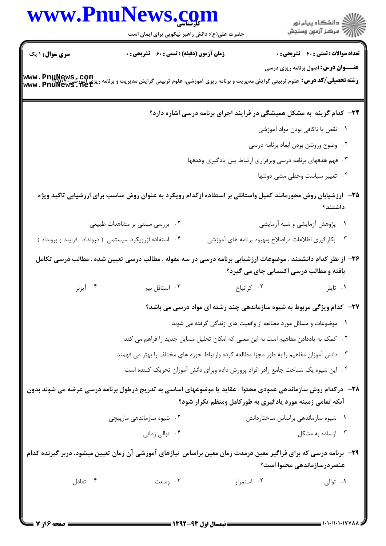|                        | www.PnuNews.com<br>حضرت علی(ع): دانش راهبر نیکویی برای ایمان است                                                                               |                                                                               |
|------------------------|------------------------------------------------------------------------------------------------------------------------------------------------|-------------------------------------------------------------------------------|
| <b>سری سوال : ۱ یک</b> | زمان آزمون (دقیقه) : تستی : 60 ٪ تشریحی : 0                                                                                                    | <b>تعداد سوالات : تستی : 40 - تشریحی : .</b>                                  |
|                        | <b>رشته تحصیلی/کد درس:</b> علوم تربیتی گرایش مدیریت و برنامه ریزی آموزشی، علوم تربیتی گرایش مدیریت و برنامه ریزی آموزشی<br>www . PnuNewS . net | <b>عنـــوان درس:</b> اصول برنامه ریزی درسی                                    |
|                        |                                                                                                                                                | ۳۴- کدام گزینه به مشکل همیشگی در فرایند اجرای برنامه درسی اشاره دارد؟         |
|                        |                                                                                                                                                | ٠١ نقص يا ناكافي بودن مواد آموزشي                                             |
|                        |                                                                                                                                                | ۰۲ وضوح وروشن بودن ابعاد برنامه درسی                                          |
|                        |                                                                                                                                                | ۰۳ فهم هدفهای برنامه درسی وبرقراری ارتباط بین یادگیری وهدفها                  |
|                        |                                                                                                                                                | ۰۴ تغییر سیاست وخطی مشی دولتها                                                |
|                        | ۳۵– ارزشیابان روش محورمانند کمپل واستانلی بر استفاده ازکدام رویکرد به عنوان روش مناسب برای ارزشیابی تاکید ویژه                                 | داشتند؟                                                                       |
|                        | ۰۲ بررسی مبتنی بر مشاهدات طبیعی                                                                                                                | ۰۱ پژوهش آزمایشی و شبه آزمایشی                                                |
|                        | ۰۴ استفاده ازرویکرد سیستمی ( درونداد . فرایند و برونداد )                                                                                      | ۰۳ بکار گیری اطلاعات دراصلاح وبهبود برنامه های آموزشی                         |
|                        | ۳۶– از نظر کدام دانشمند . موضوعات ارزشیابی برنامه درسی در سه مقوله . مطالب درسی تعیین شده . مطالب درسی تکامل                                   | یافته و مطالب درسی اکتسابی جای می گیرد؟                                       |
| ۰۴ آیزنر               | ۰۳ استافل بیم                                                                                                                                  | ۰۲ کرانباخ<br>۰۱ تايلر                                                        |
|                        |                                                                                                                                                | <b>۳۷</b> - کدام ویژگی مربوط به شیوه سازماندهی چند رشته ای مواد درسی می باشد؟ |
|                        |                                                                                                                                                | ۰۱ موضوعات و مسائل مورد مطالعه از واقعیت های زندگی گرفته می شوند              |
|                        | ۰۲ کمک به یاددادن مفاهیم است به این معنی که امکان تحلیل مسایل جدید را فراهم می کند                                                             |                                                                               |
|                        | ۰۳ دانش آموزان مفاهیم را به طور مجزا مطالعه کرده وارتباط حوزه های مختلف را بهتر می فهمند                                                       |                                                                               |
|                        | ۰۴ این شیوه یک شناخت جامع رادر افراد پرورش داده وبرای دانش آموزان تحریک کننده است                                                              |                                                                               |
|                        | ۳۸– درکدام روش سازماندهی عمودی محتوا . عقاید یا موضوعهای اساسی به تدریج درطول برنامه درسی عرضه می شوند بدون                                    | آنکه تمامی زمینه مورد یادگیری به طورکامل ومنظم تکرار شود؟                     |
|                        | ۰۲ شیوه سازماندهی مارپیچی                                                                                                                      | ٠١ شيوه سازماندهى براساس ساختاردانش                                           |
|                        | ۰۴ توالی زمانی                                                                                                                                 | ۰۳ ازساده به مشکل                                                             |
|                        | ۳۹– برنامه درسی که برای فراگیر معین درمدت زمان معین براساس  نیازهای آموزشی آن زمان تعیین میشود. دربر گیرنده کدام                               | عنصردرسازماندهی محتوا است؟                                                    |
| ۰۴ تعادل               | ۰۳ وسعت                                                                                                                                        | ۰۲ استمرار<br>۰۱ توالی                                                        |